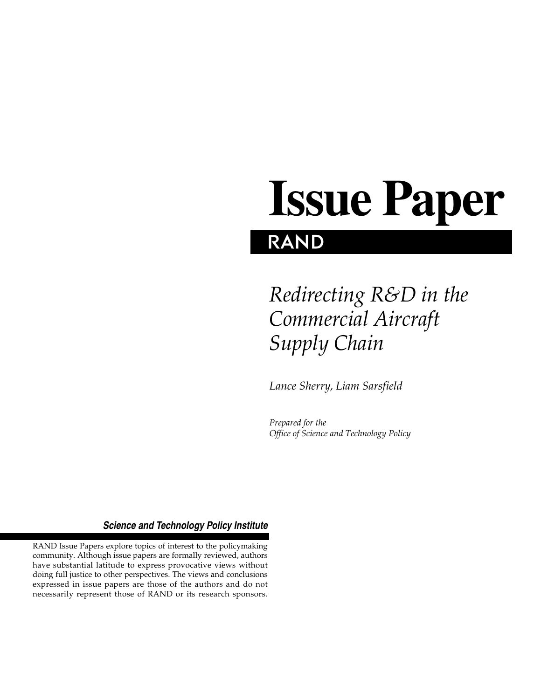# **RAND Issue Paper**

# *Redirecting R&D in the Commercial Aircraft Supply Chain*

*Lance Sherry, Liam Sarsfield*

*Prepared for the Office of Science and Technology Policy*

#### *Science and Technology Policy Institute*

RAND Issue Papers explore topics of interest to the policymaking community. Although issue papers are formally reviewed, authors have substantial latitude to express provocative views without doing full justice to other perspectives. The views and conclusions expressed in issue papers are those of the authors and do not necessarily represent those of RAND or its research sponsors.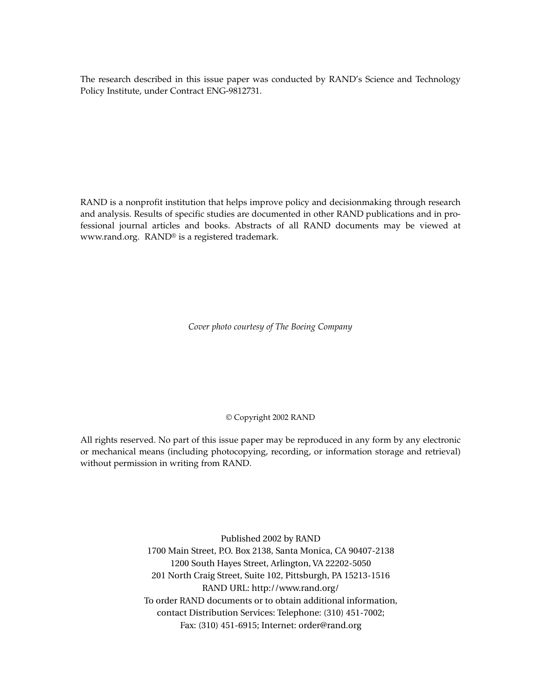The research described in this issue paper was conducted by RAND's Science and Technology Policy Institute, under Contract ENG-9812731.

RAND is a nonprofit institution that helps improve policy and decisionmaking through research and analysis. Results of specific studies are documented in other RAND publications and in professional journal articles and books. Abstracts of all RAND documents may be viewed at www.rand.org. RAND® is a registered trademark.

*Cover photo courtesy of The Boeing Company*

#### © Copyright 2002 RAND

All rights reserved. No part of this issue paper may be reproduced in any form by any electronic or mechanical means (including photocopying, recording, or information storage and retrieval) without permission in writing from RAND.

> Published 2002 by RAND 1700 Main Street, P.O. Box 2138, Santa Monica, CA 90407-2138 1200 South Hayes Street, Arlington, VA 22202-5050 201 North Craig Street, Suite 102, Pittsburgh, PA 15213-1516 RAND URL: http://www.rand.org/ To order RAND documents or to obtain additional information, contact Distribution Services: Telephone: (310) 451-7002; Fax: (310) 451-6915; Internet: order@rand.org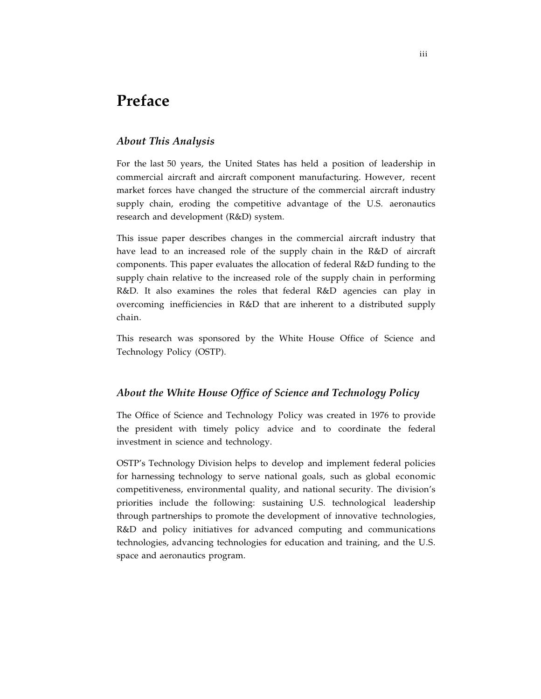# **Preface**

#### *About This Analysis*

For the last 50 years, the United States has held a position of leadership in commercial aircraft and aircraft component manufacturing. However, recent market forces have changed the structure of the commercial aircraft industry supply chain, eroding the competitive advantage of the U.S. aeronautics research and development (R&D) system.

This issue paper describes changes in the commercial aircraft industry that have lead to an increased role of the supply chain in the R&D of aircraft components. This paper evaluates the allocation of federal R&D funding to the supply chain relative to the increased role of the supply chain in performing R&D. It also examines the roles that federal R&D agencies can play in overcoming inefficiencies in R&D that are inherent to a distributed supply chain.

This research was sponsored by the White House Office of Science and Technology Policy (OSTP).

#### *About the White House Office of Science and Technology Policy*

The Office of Science and Technology Policy was created in 1976 to provide the president with timely policy advice and to coordinate the federal investment in science and technology.

OSTP's Technology Division helps to develop and implement federal policies for harnessing technology to serve national goals, such as global economic competitiveness, environmental quality, and national security. The division's priorities include the following: sustaining U.S. technological leadership through partnerships to promote the development of innovative technologies, R&D and policy initiatives for advanced computing and communications technologies, advancing technologies for education and training, and the U.S. space and aeronautics program.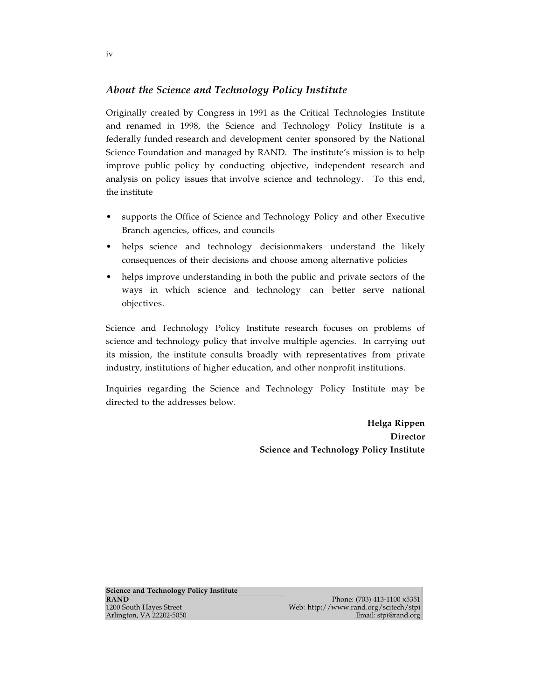#### *About the Science and Technology Policy Institute*

Originally created by Congress in 1991 as the Critical Technologies Institute and renamed in 1998, the Science and Technology Policy Institute is a federally funded research and development center sponsored by the National Science Foundation and managed by RAND. The institute's mission is to help improve public policy by conducting objective, independent research and analysis on policy issues that involve science and technology. To this end, the institute

- supports the Office of Science and Technology Policy and other Executive Branch agencies, offices, and councils
- helps science and technology decisionmakers understand the likely consequences of their decisions and choose among alternative policies
- helps improve understanding in both the public and private sectors of the ways in which science and technology can better serve national objectives.

Science and Technology Policy Institute research focuses on problems of science and technology policy that involve multiple agencies. In carrying out its mission, the institute consults broadly with representatives from private industry, institutions of higher education, and other nonprofit institutions.

Inquiries regarding the Science and Technology Policy Institute may be directed to the addresses below.

> **Helga Rippen Director Science and Technology Policy Institute**

**Science and Technology Policy Institute RAND**<br>1200 South Hayes Street **Random Structure 1.100 x5351**<br>1200 South Hayes Street **Random Structure 1.100 x5351** Arlington, VA 22202-5050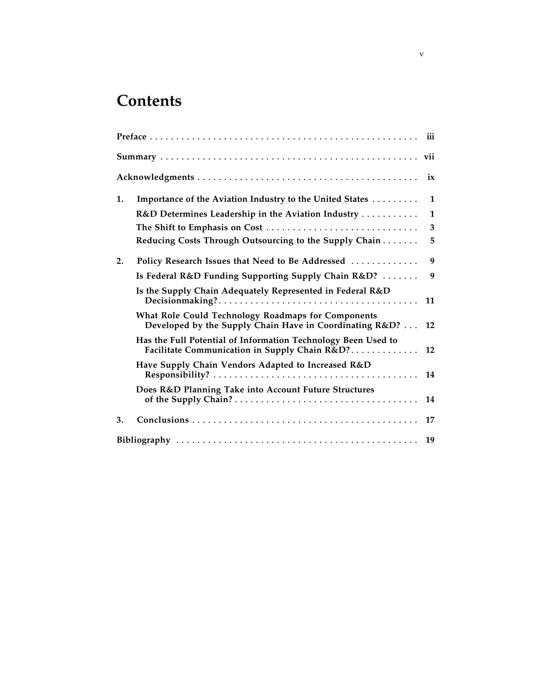# **Contents**

|    |                                                                                                                | ix |
|----|----------------------------------------------------------------------------------------------------------------|----|
| 1. | Importance of the Aviation Industry to the United States                                                       | 1  |
|    | R&D Determines Leadership in the Aviation Industry                                                             | 1  |
|    | The Shift to Emphasis on Cost                                                                                  | 3  |
|    | Reducing Costs Through Outsourcing to the Supply Chain                                                         | 5  |
| 2. | Policy Research Issues that Need to Be Addressed                                                               | 9  |
|    | Is Federal R&D Funding Supporting Supply Chain R&D?                                                            | 9  |
|    | Is the Supply Chain Adequately Represented in Federal R&D                                                      | 11 |
|    | What Role Could Technology Roadmaps for Components<br>Developed by the Supply Chain Have in Coordinating R&D?  | 12 |
|    | Has the Full Potential of Information Technology Been Used to<br>Facilitate Communication in Supply Chain R&D? | 12 |
|    | Have Supply Chain Vendors Adapted to Increased R&D                                                             | 14 |
|    | Does R&D Planning Take into Account Future Structures                                                          | 14 |
| 3. |                                                                                                                | 17 |
|    |                                                                                                                | 19 |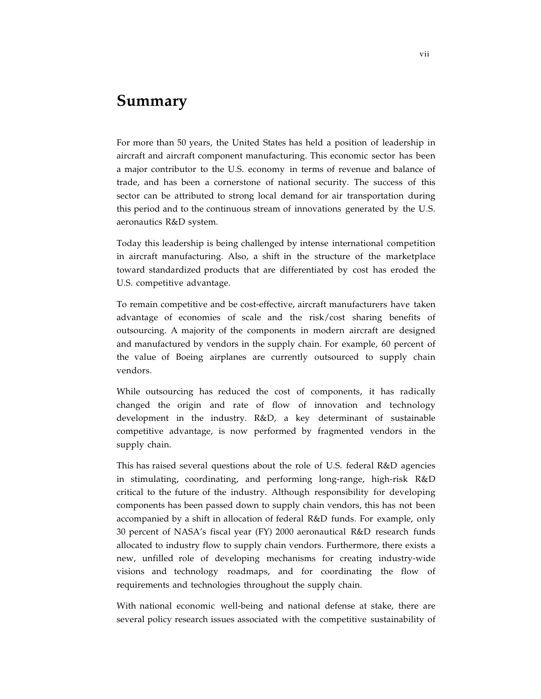### **Summary**

For more than 50 years, the United States has held a position of leadership in aircraft and aircraft component manufacturing. This economic sector has been a major contributor to the U.S. economy in terms of revenue and balance of trade, and has been a cornerstone of national security. The success of this sector can be attributed to strong local demand for air transportation during this period and to the continuous stream of innovations generated by the U.S. aeronautics R&D system.

Today this leadership is being challenged by intense international competition in aircraft manufacturing. Also, a shift in the structure of the marketplace toward standardized products that are differentiated by cost has eroded the U.S. competitive advantage.

To remain competitive and be cost-effective, aircraft manufacturers have taken advantage of economies of scale and the risk/cost sharing benefits of outsourcing. A majority of the components in modern aircraft are designed and manufactured by vendors in the supply chain. For example, 60 percent of the value of Boeing airplanes are currently outsourced to supply chain vendors.

While outsourcing has reduced the cost of components, it has radically changed the origin and rate of flow of innovation and technology development in the industry. R&D, a key determinant of sustainable competitive advantage, is now performed by fragmented vendors in the supply chain.

This has raised several questions about the role of U.S. federal R&D agencies in stimulating, coordinating, and performing long-range, high-risk R&D critical to the future of the industry. Although responsibility for developing components has been passed down to supply chain vendors, this has not been accompanied by a shift in allocation of federal R&D funds. For example, only 30 percent of NASA's fiscal year (FY) 2000 aeronautical R&D research funds allocated to industry flow to supply chain vendors. Furthermore, there exists a new, unfilled role of developing mechanisms for creating industry-wide visions and technology roadmaps, and for coordinating the flow of requirements and technologies throughout the supply chain.

With national economic well-being and national defense at stake, there are several policy research issues associated with the competitive sustainability of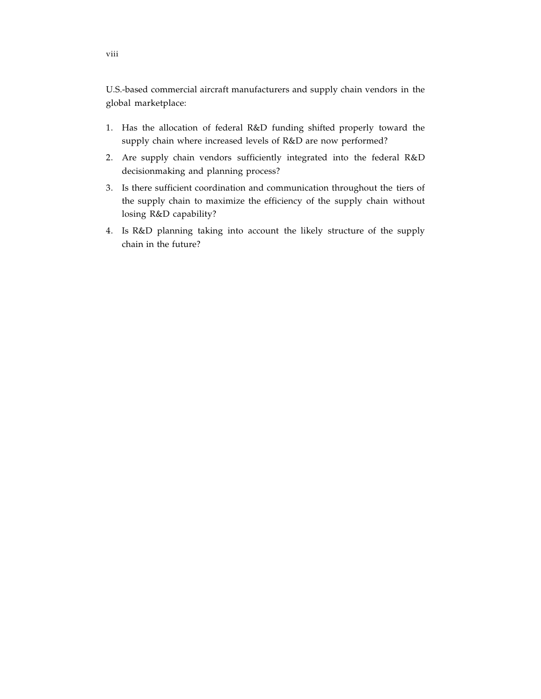U.S.-based commercial aircraft manufacturers and supply chain vendors in the global marketplace:

- 1. Has the allocation of federal R&D funding shifted properly toward the supply chain where increased levels of R&D are now performed?
- 2. Are supply chain vendors sufficiently integrated into the federal R&D decisionmaking and planning process?
- 3. Is there sufficient coordination and communication throughout the tiers of the supply chain to maximize the efficiency of the supply chain without losing R&D capability?
- 4. Is R&D planning taking into account the likely structure of the supply chain in the future?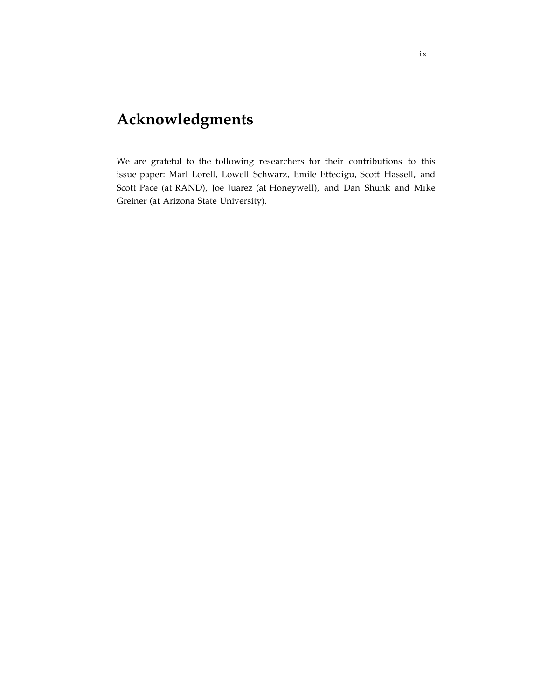# **Acknowledgments**

We are grateful to the following researchers for their contributions to this issue paper: Marl Lorell, Lowell Schwarz, Emile Ettedigu, Scott Hassell, and Scott Pace (at RAND), Joe Juarez (at Honeywell), and Dan Shunk and Mike Greiner (at Arizona State University).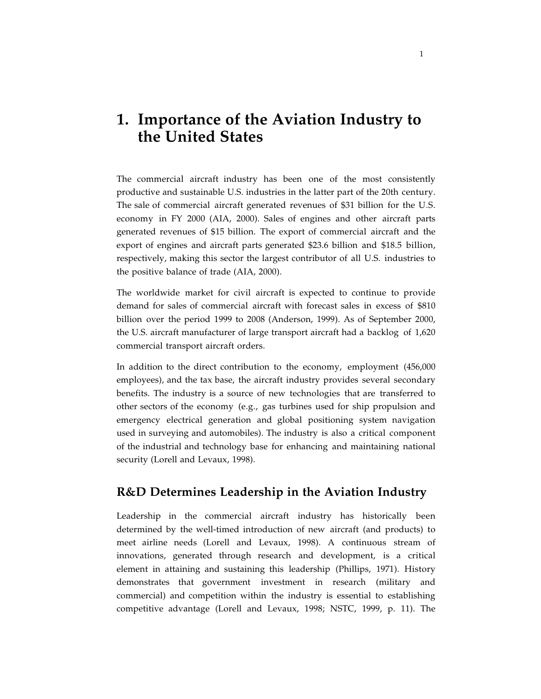# **1. Importance of the Aviation Industry to the United States**

The commercial aircraft industry has been one of the most consistently productive and sustainable U.S. industries in the latter part of the 20th century. The sale of commercial aircraft generated revenues of \$31 billion for the U.S. economy in FY 2000 (AIA, 2000). Sales of engines and other aircraft parts generated revenues of \$15 billion. The export of commercial aircraft and the export of engines and aircraft parts generated \$23.6 billion and \$18.5 billion, respectively, making this sector the largest contributor of all U.S. industries to the positive balance of trade (AIA, 2000).

The worldwide market for civil aircraft is expected to continue to provide demand for sales of commercial aircraft with forecast sales in excess of \$810 billion over the period 1999 to 2008 (Anderson, 1999). As of September 2000, the U.S. aircraft manufacturer of large transport aircraft had a backlog of 1,620 commercial transport aircraft orders.

In addition to the direct contribution to the economy, employment (456,000 employees), and the tax base, the aircraft industry provides several secondary benefits. The industry is a source of new technologies that are transferred to other sectors of the economy (e.g., gas turbines used for ship propulsion and emergency electrical generation and global positioning system navigation used in surveying and automobiles). The industry is also a critical component of the industrial and technology base for enhancing and maintaining national security (Lorell and Levaux, 1998).

#### **R&D Determines Leadership in the Aviation Industry**

Leadership in the commercial aircraft industry has historically been determined by the well-timed introduction of new aircraft (and products) to meet airline needs (Lorell and Levaux, 1998). A continuous stream of innovations, generated through research and development, is a critical element in attaining and sustaining this leadership (Phillips, 1971). History demonstrates that government investment in research (military and commercial) and competition within the industry is essential to establishing competitive advantage (Lorell and Levaux, 1998; NSTC, 1999, p. 11). The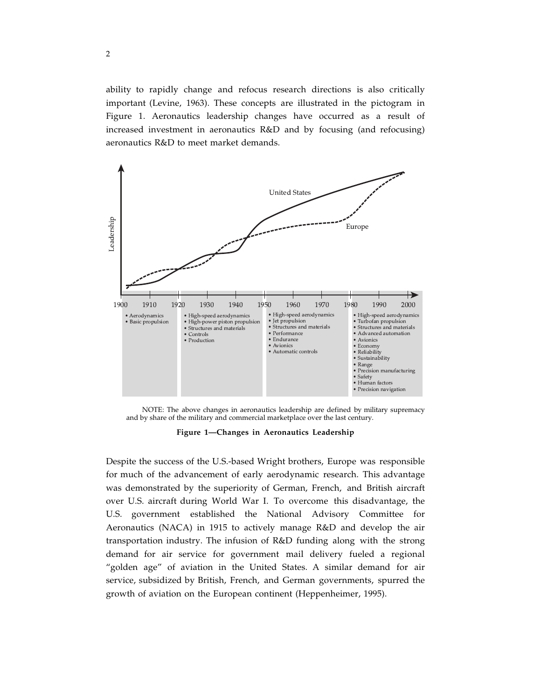ability to rapidly change and refocus research directions is also critically important (Levine, 1963). These concepts are illustrated in the pictogram in Figure 1. Aeronautics leadership changes have occurred as a result of increased investment in aeronautics R&D and by focusing (and refocusing) aeronautics R&D to meet market demands.



NOTE: The above changes in aeronautics leadership are defined by military supremacy and by share of the military and commercial marketplace over the last century.

**Figure 1—Changes in Aeronautics Leadership**

Despite the success of the U.S.-based Wright brothers, Europe was responsible for much of the advancement of early aerodynamic research. This advantage was demonstrated by the superiority of German, French, and British aircraft over U.S. aircraft during World War I. To overcome this disadvantage, the U.S. government established the National Advisory Committee for Aeronautics (NACA) in 1915 to actively manage R&D and develop the air transportation industry. The infusion of R&D funding along with the strong demand for air service for government mail delivery fueled a regional "golden age" of aviation in the United States. A similar demand for air service, subsidized by British, French, and German governments, spurred the growth of aviation on the European continent (Heppenheimer, 1995).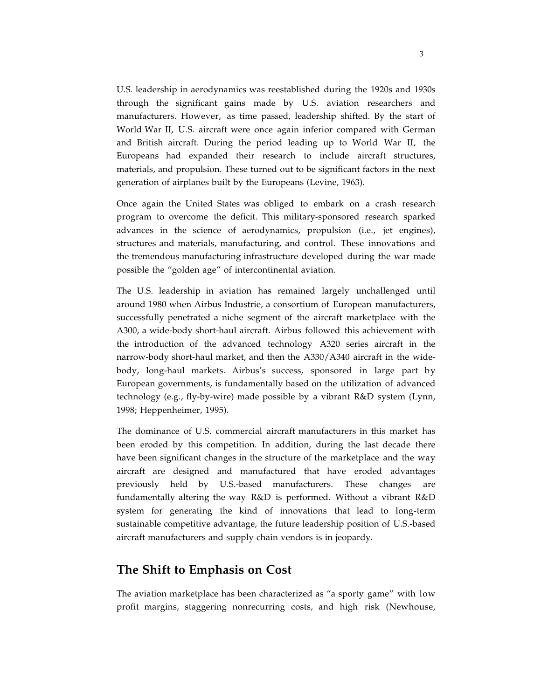U.S. leadership in aerodynamics was reestablished during the 1920s and 1930s through the significant gains made by U.S. aviation researchers and manufacturers. However, as time passed, leadership shifted. By the start of World War II, U.S. aircraft were once again inferior compared with German and British aircraft. During the period leading up to World War II, the Europeans had expanded their research to include aircraft structures, materials, and propulsion. These turned out to be significant factors in the next generation of airplanes built by the Europeans (Levine, 1963).

Once again the United States was obliged to embark on a crash research program to overcome the deficit. This military-sponsored research sparked advances in the science of aerodynamics, propulsion (i.e., jet engines), structures and materials, manufacturing, and control. These innovations and the tremendous manufacturing infrastructure developed during the war made possible the "golden age" of intercontinental aviation.

The U.S. leadership in aviation has remained largely unchallenged until around 1980 when Airbus Industrie, a consortium of European manufacturers, successfully penetrated a niche segment of the aircraft marketplace with the A300, a wide-body short-haul aircraft. Airbus followed this achievement with the introduction of the advanced technology A320 series aircraft in the narrow-body short-haul market, and then the A330/A340 aircraft in the widebody, long-haul markets. Airbus's success, sponsored in large part by European governments, is fundamentally based on the utilization of advanced technology (e.g., fly-by-wire) made possible by a vibrant R&D system (Lynn, 1998; Heppenheimer, 1995).

The dominance of U.S. commercial aircraft manufacturers in this market has been eroded by this competition. In addition, during the last decade there have been significant changes in the structure of the marketplace and the way aircraft are designed and manufactured that have eroded advantages previously held by U.S.-based manufacturers. These changes are fundamentally altering the way R&D is performed. Without a vibrant R&D system for generating the kind of innovations that lead to long-term sustainable competitive advantage, the future leadership position of U.S.-based aircraft manufacturers and supply chain vendors is in jeopardy.

#### **The Shift to Emphasis on Cost**

The aviation marketplace has been characterized as "a sporty game" with low profit margins, staggering nonrecurring costs, and high risk (Newhouse,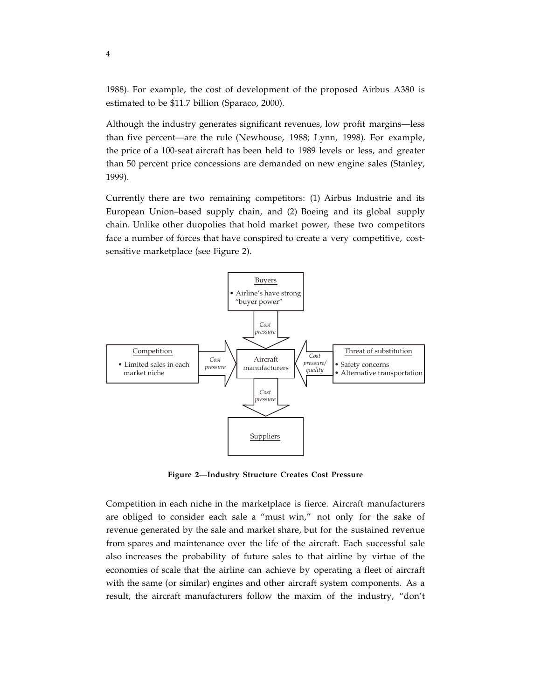1988). For example, the cost of development of the proposed Airbus A380 is estimated to be \$11.7 billion (Sparaco, 2000).

Although the industry generates significant revenues, low profit margins—less than five percent—are the rule (Newhouse, 1988; Lynn, 1998). For example, the price of a 100-seat aircraft has been held to 1989 levels or less, and greater than 50 percent price concessions are demanded on new engine sales (Stanley, 1999).

Currently there are two remaining competitors: (1) Airbus Industrie and its European Union–based supply chain, and (2) Boeing and its global supply chain. Unlike other duopolies that hold market power, these two competitors face a number of forces that have conspired to create a very competitive, costsensitive marketplace (see Figure 2).



**Figure 2—Industry Structure Creates Cost Pressure**

Competition in each niche in the marketplace is fierce. Aircraft manufacturers are obliged to consider each sale a "must win," not only for the sake of revenue generated by the sale and market share, but for the sustained revenue from spares and maintenance over the life of the aircraft. Each successful sale also increases the probability of future sales to that airline by virtue of the economies of scale that the airline can achieve by operating a fleet of aircraft with the same (or similar) engines and other aircraft system components. As a result, the aircraft manufacturers follow the maxim of the industry, "don't

4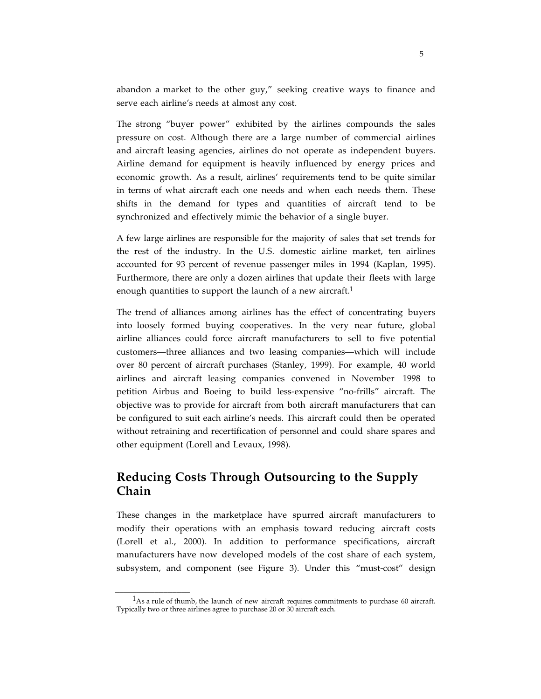abandon a market to the other guy," seeking creative ways to finance and serve each airline's needs at almost any cost.

The strong "buyer power" exhibited by the airlines compounds the sales pressure on cost. Although there are a large number of commercial airlines and aircraft leasing agencies, airlines do not operate as independent buyers. Airline demand for equipment is heavily influenced by energy prices and economic growth. As a result, airlines' requirements tend to be quite similar in terms of what aircraft each one needs and when each needs them. These shifts in the demand for types and quantities of aircraft tend to be synchronized and effectively mimic the behavior of a single buyer.

A few large airlines are responsible for the majority of sales that set trends for the rest of the industry. In the U.S. domestic airline market, ten airlines accounted for 93 percent of revenue passenger miles in 1994 (Kaplan, 1995). Furthermore, there are only a dozen airlines that update their fleets with large enough quantities to support the launch of a new aircraft.<sup>1</sup>

The trend of alliances among airlines has the effect of concentrating buyers into loosely formed buying cooperatives. In the very near future, global airline alliances could force aircraft manufacturers to sell to five potential customers—three alliances and two leasing companies—which will include over 80 percent of aircraft purchases (Stanley, 1999). For example, 40 world airlines and aircraft leasing companies convened in November 1998 to petition Airbus and Boeing to build less-expensive "no-frills" aircraft. The objective was to provide for aircraft from both aircraft manufacturers that can be configured to suit each airline's needs. This aircraft could then be operated without retraining and recertification of personnel and could share spares and other equipment (Lorell and Levaux, 1998).

#### **Reducing Costs Through Outsourcing to the Supply Chain**

These changes in the marketplace have spurred aircraft manufacturers to modify their operations with an emphasis toward reducing aircraft costs (Lorell et al., 2000). In addition to performance specifications, aircraft manufacturers have now developed models of the cost share of each system, subsystem, and component (see Figure 3). Under this "must-cost" design

\_\_\_\_\_\_\_\_\_\_\_\_\_\_\_\_\_

 $<sup>1</sup>$ As a rule of thumb, the launch of new aircraft requires commitments to purchase 60 aircraft.</sup> Typically two or three airlines agree to purchase 20 or 30 aircraft each.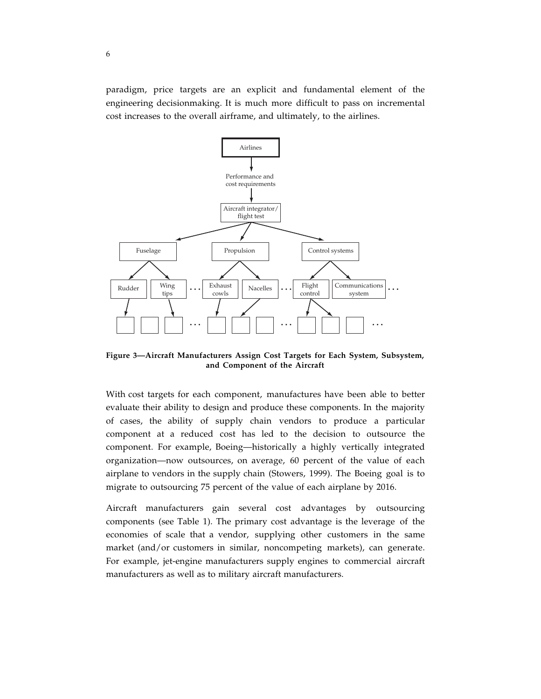paradigm, price targets are an explicit and fundamental element of the engineering decisionmaking. It is much more difficult to pass on incremental cost increases to the overall airframe, and ultimately, to the airlines.



**Figure 3—Aircraft Manufacturers Assign Cost Targets for Each System, Subsystem, and Component of the Aircraft**

With cost targets for each component, manufactures have been able to better evaluate their ability to design and produce these components. In the majority of cases, the ability of supply chain vendors to produce a particular component at a reduced cost has led to the decision to outsource the component. For example, Boeing—historically a highly vertically integrated organization—now outsources, on average, 60 percent of the value of each airplane to vendors in the supply chain (Stowers, 1999). The Boeing goal is to migrate to outsourcing 75 percent of the value of each airplane by 2016.

Aircraft manufacturers gain several cost advantages by outsourcing components (see Table 1). The primary cost advantage is the leverage of the economies of scale that a vendor, supplying other customers in the same market (and/or customers in similar, noncompeting markets), can generate. For example, jet-engine manufacturers supply engines to commercial aircraft manufacturers as well as to military aircraft manufacturers.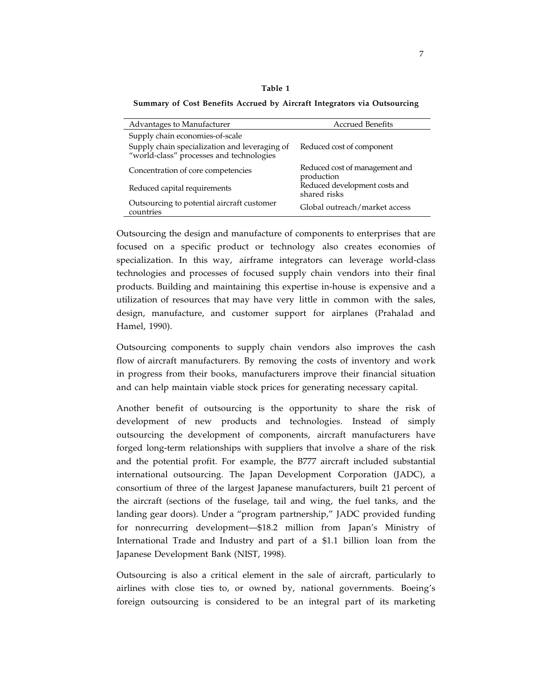| ٧<br>۰,<br>- -<br>×<br>۰, |  |
|---------------------------|--|
|---------------------------|--|

**Summary of Cost Benefits Accrued by Aircraft Integrators via Outsourcing**

| Advantages to Manufacturer                                                                | <b>Accrued Benefits</b>                       |
|-------------------------------------------------------------------------------------------|-----------------------------------------------|
| Supply chain economies-of-scale                                                           |                                               |
| Supply chain specialization and leveraging of<br>"world-class" processes and technologies | Reduced cost of component                     |
| Concentration of core competencies                                                        | Reduced cost of management and<br>production  |
| Reduced capital requirements                                                              | Reduced development costs and<br>shared risks |
| Outsourcing to potential aircraft customer<br>countries                                   | Global outreach/market access                 |

Outsourcing the design and manufacture of components to enterprises that are focused on a specific product or technology also creates economies of specialization. In this way, airframe integrators can leverage world-class technologies and processes of focused supply chain vendors into their final products. Building and maintaining this expertise in-house is expensive and a utilization of resources that may have very little in common with the sales, design, manufacture, and customer support for airplanes (Prahalad and Hamel, 1990).

Outsourcing components to supply chain vendors also improves the cash flow of aircraft manufacturers. By removing the costs of inventory and work in progress from their books, manufacturers improve their financial situation and can help maintain viable stock prices for generating necessary capital.

Another benefit of outsourcing is the opportunity to share the risk of development of new products and technologies. Instead of simply outsourcing the development of components, aircraft manufacturers have forged long-term relationships with suppliers that involve a share of the risk and the potential profit. For example, the B777 aircraft included substantial international outsourcing. The Japan Development Corporation (JADC), a consortium of three of the largest Japanese manufacturers, built 21 percent of the aircraft (sections of the fuselage, tail and wing, the fuel tanks, and the landing gear doors). Under a "program partnership," JADC provided funding for nonrecurring development—\$18.2 million from Japan's Ministry of International Trade and Industry and part of a \$1.1 billion loan from the Japanese Development Bank (NIST, 1998).

Outsourcing is also a critical element in the sale of aircraft, particularly to airlines with close ties to, or owned by, national governments. Boeing's foreign outsourcing is considered to be an integral part of its marketing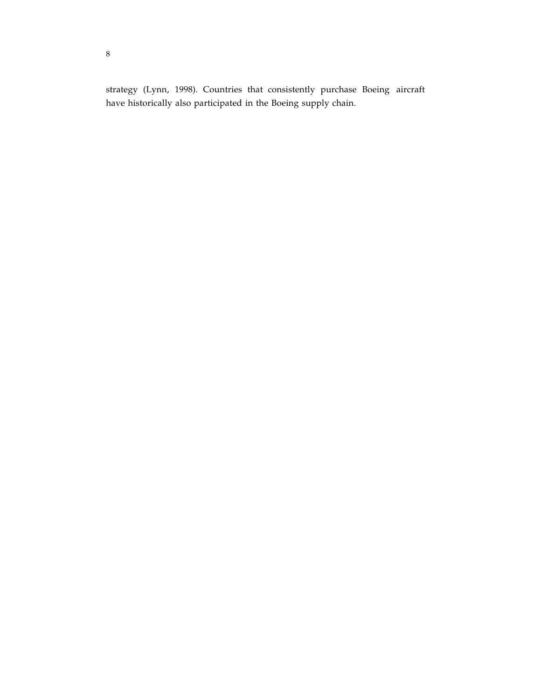strategy (Lynn, 1998). Countries that consistently purchase Boeing aircraft have historically also participated in the Boeing supply chain.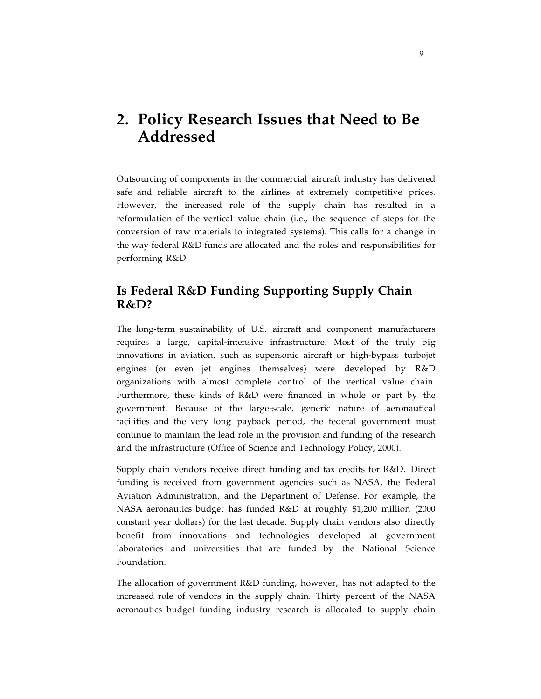# **2. Policy Research Issues that Need to Be Addressed**

Outsourcing of components in the commercial aircraft industry has delivered safe and reliable aircraft to the airlines at extremely competitive prices. However, the increased role of the supply chain has resulted in a reformulation of the vertical value chain (i.e., the sequence of steps for the conversion of raw materials to integrated systems). This calls for a change in the way federal R&D funds are allocated and the roles and responsibilities for performing R&D.

#### **Is Federal R&D Funding Supporting Supply Chain R&D?**

The long-term sustainability of U.S. aircraft and component manufacturers requires a large, capital-intensive infrastructure. Most of the truly big innovations in aviation, such as supersonic aircraft or high-bypass turbojet engines (or even jet engines themselves) were developed by R&D organizations with almost complete control of the vertical value chain. Furthermore, these kinds of R&D were financed in whole or part by the government. Because of the large-scale, generic nature of aeronautical facilities and the very long payback period, the federal government must continue to maintain the lead role in the provision and funding of the research and the infrastructure (Office of Science and Technology Policy, 2000).

Supply chain vendors receive direct funding and tax credits for R&D. Direct funding is received from government agencies such as NASA, the Federal Aviation Administration, and the Department of Defense. For example, the NASA aeronautics budget has funded R&D at roughly \$1,200 million (2000 constant year dollars) for the last decade. Supply chain vendors also directly benefit from innovations and technologies developed at government laboratories and universities that are funded by the National Science Foundation.

The allocation of government R&D funding, however, has not adapted to the increased role of vendors in the supply chain. Thirty percent of the NASA aeronautics budget funding industry research is allocated to supply chain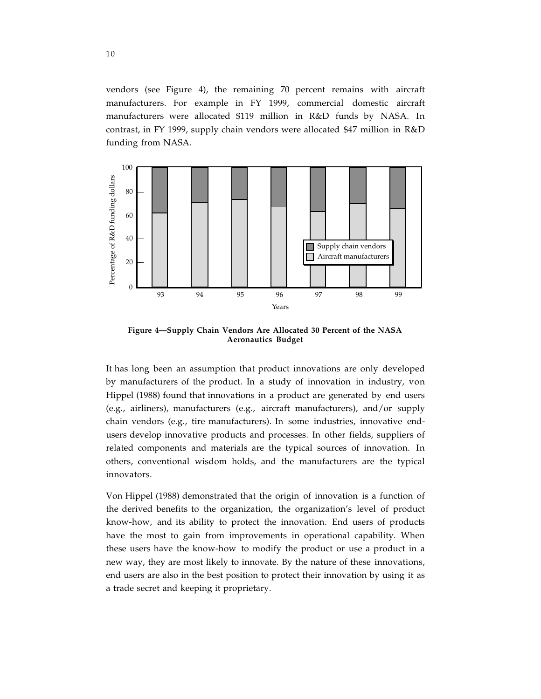vendors (see Figure 4), the remaining 70 percent remains with aircraft manufacturers. For example in FY 1999, commercial domestic aircraft manufacturers were allocated \$119 million in R&D funds by NASA. In contrast, in FY 1999, supply chain vendors were allocated \$47 million in R&D funding from NASA.



**Figure 4—Supply Chain Vendors Are Allocated 30 Percent of the NASA Aeronautics Budget**

It has long been an assumption that product innovations are only developed by manufacturers of the product. In a study of innovation in industry, von Hippel (1988) found that innovations in a product are generated by end users (e.g., airliners), manufacturers (e.g., aircraft manufacturers), and/or supply chain vendors (e.g., tire manufacturers). In some industries, innovative endusers develop innovative products and processes. In other fields, suppliers of related components and materials are the typical sources of innovation. In others, conventional wisdom holds, and the manufacturers are the typical innovators.

Von Hippel (1988) demonstrated that the origin of innovation is a function of the derived benefits to the organization, the organization's level of product know-how, and its ability to protect the innovation. End users of products have the most to gain from improvements in operational capability. When these users have the know-how to modify the product or use a product in a new way, they are most likely to innovate. By the nature of these innovations, end users are also in the best position to protect their innovation by using it as a trade secret and keeping it proprietary.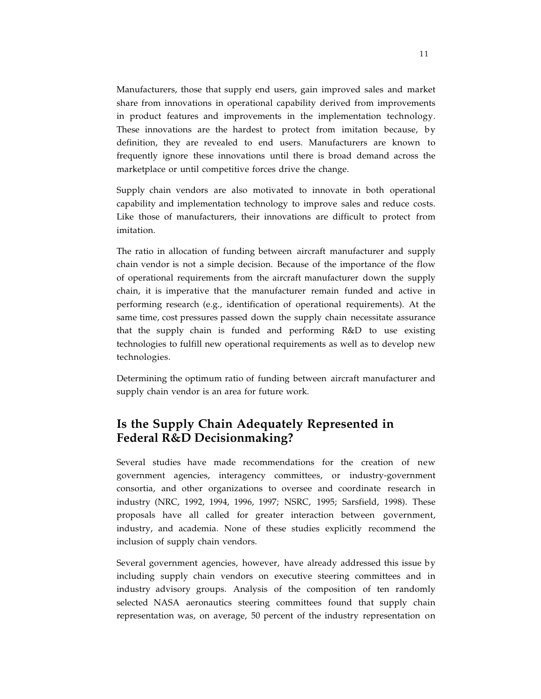Manufacturers, those that supply end users, gain improved sales and market share from innovations in operational capability derived from improvements in product features and improvements in the implementation technology. These innovations are the hardest to protect from imitation because, by definition, they are revealed to end users. Manufacturers are known to frequently ignore these innovations until there is broad demand across the marketplace or until competitive forces drive the change.

Supply chain vendors are also motivated to innovate in both operational capability and implementation technology to improve sales and reduce costs. Like those of manufacturers, their innovations are difficult to protect from imitation.

The ratio in allocation of funding between aircraft manufacturer and supply chain vendor is not a simple decision. Because of the importance of the flow of operational requirements from the aircraft manufacturer down the supply chain, it is imperative that the manufacturer remain funded and active in performing research (e.g., identification of operational requirements). At the same time, cost pressures passed down the supply chain necessitate assurance that the supply chain is funded and performing R&D to use existing technologies to fulfill new operational requirements as well as to develop new technologies.

Determining the optimum ratio of funding between aircraft manufacturer and supply chain vendor is an area for future work.

#### **Is the Supply Chain Adequately Represented in Federal R&D Decisionmaking?**

Several studies have made recommendations for the creation of new government agencies, interagency committees, or industry-government consortia, and other organizations to oversee and coordinate research in industry (NRC, 1992, 1994, 1996, 1997; NSRC, 1995; Sarsfield, 1998). These proposals have all called for greater interaction between government, industry, and academia. None of these studies explicitly recommend the inclusion of supply chain vendors.

Several government agencies, however, have already addressed this issue by including supply chain vendors on executive steering committees and in industry advisory groups. Analysis of the composition of ten randomly selected NASA aeronautics steering committees found that supply chain representation was, on average, 50 percent of the industry representation on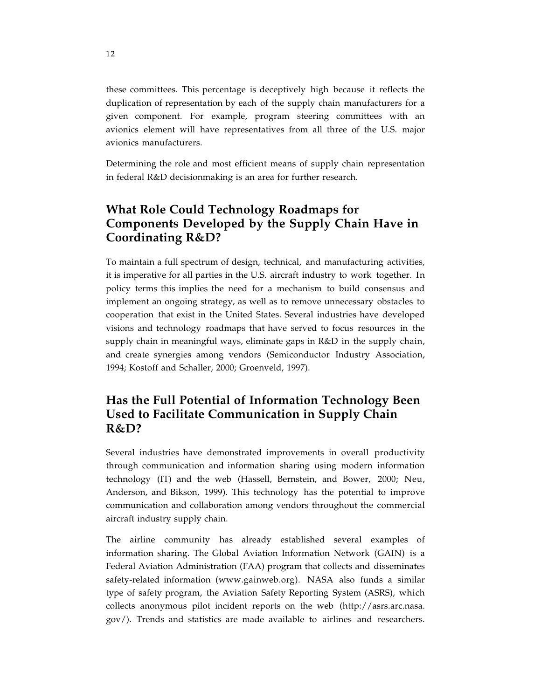these committees. This percentage is deceptively high because it reflects the duplication of representation by each of the supply chain manufacturers for a given component. For example, program steering committees with an avionics element will have representatives from all three of the U.S. major avionics manufacturers.

Determining the role and most efficient means of supply chain representation in federal R&D decisionmaking is an area for further research.

#### **What Role Could Technology Roadmaps for Components Developed by the Supply Chain Have in Coordinating R&D?**

To maintain a full spectrum of design, technical, and manufacturing activities, it is imperative for all parties in the U.S. aircraft industry to work together. In policy terms this implies the need for a mechanism to build consensus and implement an ongoing strategy, as well as to remove unnecessary obstacles to cooperation that exist in the United States. Several industries have developed visions and technology roadmaps that have served to focus resources in the supply chain in meaningful ways, eliminate gaps in R&D in the supply chain, and create synergies among vendors (Semiconductor Industry Association, 1994; Kostoff and Schaller, 2000; Groenveld, 1997).

#### **Has the Full Potential of Information Technology Been Used to Facilitate Communication in Supply Chain R&D?**

Several industries have demonstrated improvements in overall productivity through communication and information sharing using modern information technology (IT) and the web (Hassell, Bernstein, and Bower, 2000; Neu, Anderson, and Bikson, 1999). This technology has the potential to improve communication and collaboration among vendors throughout the commercial aircraft industry supply chain.

The airline community has already established several examples of information sharing. The Global Aviation Information Network (GAIN) is a Federal Aviation Administration (FAA) program that collects and disseminates safety-related information (www.gainweb.org). NASA also funds a similar type of safety program, the Aviation Safety Reporting System (ASRS), which collects anonymous pilot incident reports on the web (http://asrs.arc.nasa. gov/). Trends and statistics are made available to airlines and researchers.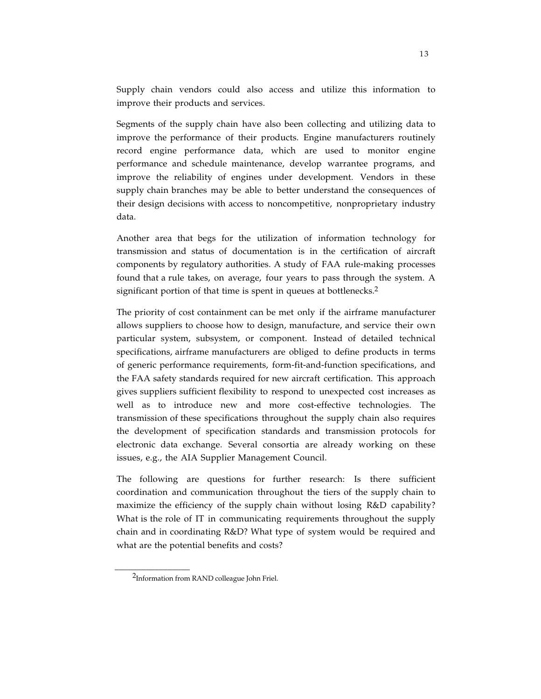Supply chain vendors could also access and utilize this information to improve their products and services.

Segments of the supply chain have also been collecting and utilizing data to improve the performance of their products. Engine manufacturers routinely record engine performance data, which are used to monitor engine performance and schedule maintenance, develop warrantee programs, and improve the reliability of engines under development. Vendors in these supply chain branches may be able to better understand the consequences of their design decisions with access to noncompetitive, nonproprietary industry data.

Another area that begs for the utilization of information technology for transmission and status of documentation is in the certification of aircraft components by regulatory authorities. A study of FAA rule-making processes found that a rule takes, on average, four years to pass through the system. A significant portion of that time is spent in queues at bottlenecks.<sup>2</sup>

The priority of cost containment can be met only if the airframe manufacturer allows suppliers to choose how to design, manufacture, and service their own particular system, subsystem, or component. Instead of detailed technical specifications, airframe manufacturers are obliged to define products in terms of generic performance requirements, form-fit-and-function specifications, and the FAA safety standards required for new aircraft certification. This approach gives suppliers sufficient flexibility to respond to unexpected cost increases as well as to introduce new and more cost-effective technologies. The transmission of these specifications throughout the supply chain also requires the development of specification standards and transmission protocols for electronic data exchange. Several consortia are already working on these issues, e.g., the AIA Supplier Management Council.

The following are questions for further research: Is there sufficient coordination and communication throughout the tiers of the supply chain to maximize the efficiency of the supply chain without losing R&D capability? What is the role of IT in communicating requirements throughout the supply chain and in coordinating R&D? What type of system would be required and what are the potential benefits and costs?

 $\overline{\phantom{a}}$  , where the contract of the contract of the contract of the contract of the contract of the contract of the contract of the contract of the contract of the contract of the contract of the contract of the contr

<sup>2</sup>Information from RAND colleague John Friel.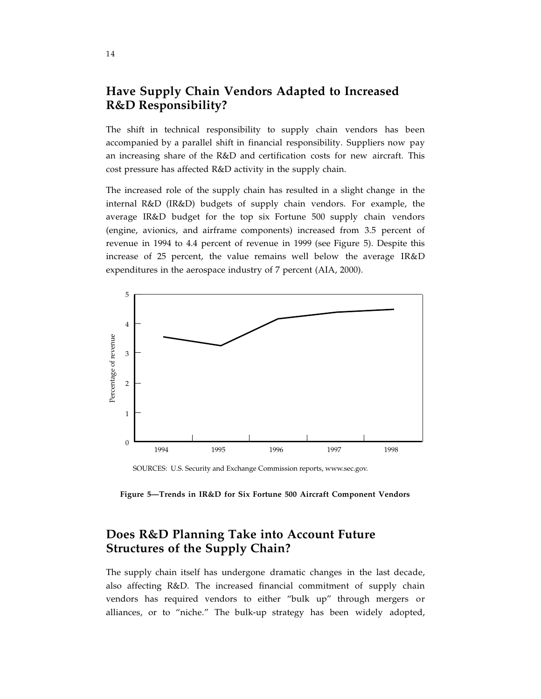#### **Have Supply Chain Vendors Adapted to Increased R&D Responsibility?**

The shift in technical responsibility to supply chain vendors has been accompanied by a parallel shift in financial responsibility. Suppliers now pay an increasing share of the R&D and certification costs for new aircraft. This cost pressure has affected R&D activity in the supply chain.

The increased role of the supply chain has resulted in a slight change in the internal R&D (IR&D) budgets of supply chain vendors. For example, the average IR&D budget for the top six Fortune 500 supply chain vendors (engine, avionics, and airframe components) increased from 3.5 percent of revenue in 1994 to 4.4 percent of revenue in 1999 (see Figure 5). Despite this increase of 25 percent, the value remains well below the average IR&D expenditures in the aerospace industry of 7 percent (AIA, 2000).



SOURCES: U.S. Security and Exchange Commission reports, www.sec.gov.

**Figure 5—Trends in IR&D for Six Fortune 500 Aircraft Component Vendors**

#### **Does R&D Planning Take into Account Future Structures of the Supply Chain?**

The supply chain itself has undergone dramatic changes in the last decade, also affecting R&D. The increased financial commitment of supply chain vendors has required vendors to either "bulk up" through mergers or alliances, or to "niche." The bulk-up strategy has been widely adopted,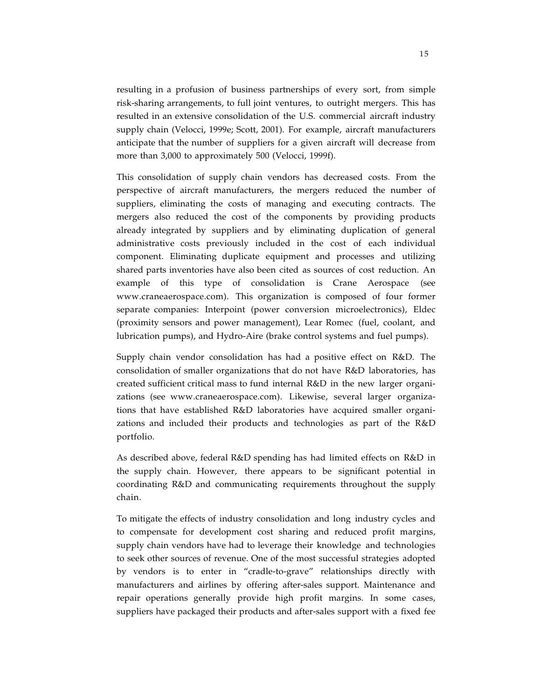resulting in a profusion of business partnerships of every sort, from simple risk-sharing arrangements, to full joint ventures, to outright mergers. This has resulted in an extensive consolidation of the U.S. commercial aircraft industry supply chain (Velocci, 1999e; Scott, 2001). For example, aircraft manufacturers anticipate that the number of suppliers for a given aircraft will decrease from more than 3,000 to approximately 500 (Velocci, 1999f).

This consolidation of supply chain vendors has decreased costs. From the perspective of aircraft manufacturers, the mergers reduced the number of suppliers, eliminating the costs of managing and executing contracts. The mergers also reduced the cost of the components by providing products already integrated by suppliers and by eliminating duplication of general administrative costs previously included in the cost of each individual component. Eliminating duplicate equipment and processes and utilizing shared parts inventories have also been cited as sources of cost reduction. An example of this type of consolidation is Crane Aerospace (see www.craneaerospace.com). This organization is composed of four former separate companies: Interpoint (power conversion microelectronics), Eldec (proximity sensors and power management), Lear Romec (fuel, coolant, and lubrication pumps), and Hydro-Aire (brake control systems and fuel pumps).

Supply chain vendor consolidation has had a positive effect on R&D. The consolidation of smaller organizations that do not have R&D laboratories, has created sufficient critical mass to fund internal R&D in the new larger organizations (see www.craneaerospace.com). Likewise, several larger organizations that have established R&D laboratories have acquired smaller organizations and included their products and technologies as part of the R&D portfolio.

As described above, federal R&D spending has had limited effects on R&D in the supply chain. However, there appears to be significant potential in coordinating R&D and communicating requirements throughout the supply chain.

To mitigate the effects of industry consolidation and long industry cycles and to compensate for development cost sharing and reduced profit margins, supply chain vendors have had to leverage their knowledge and technologies to seek other sources of revenue. One of the most successful strategies adopted by vendors is to enter in "cradle-to-grave" relationships directly with manufacturers and airlines by offering after-sales support. Maintenance and repair operations generally provide high profit margins. In some cases, suppliers have packaged their products and after-sales support with a fixed fee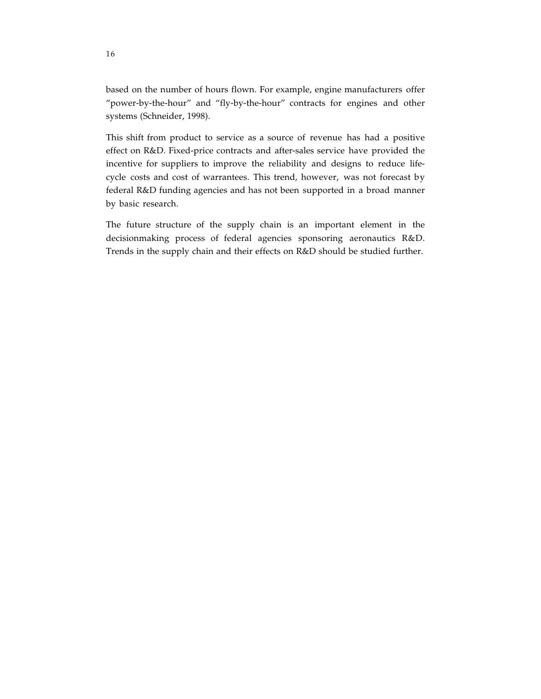based on the number of hours flown. For example, engine manufacturers offer "power-by-the-hour" and "fly-by-the-hour" contracts for engines and other systems (Schneider, 1998).

This shift from product to service as a source of revenue has had a positive effect on R&D. Fixed-price contracts and after-sales service have provided the incentive for suppliers to improve the reliability and designs to reduce lifecycle costs and cost of warrantees. This trend, however, was not forecast by federal R&D funding agencies and has not been supported in a broad manner by basic research.

The future structure of the supply chain is an important element in the decisionmaking process of federal agencies sponsoring aeronautics R&D. Trends in the supply chain and their effects on R&D should be studied further.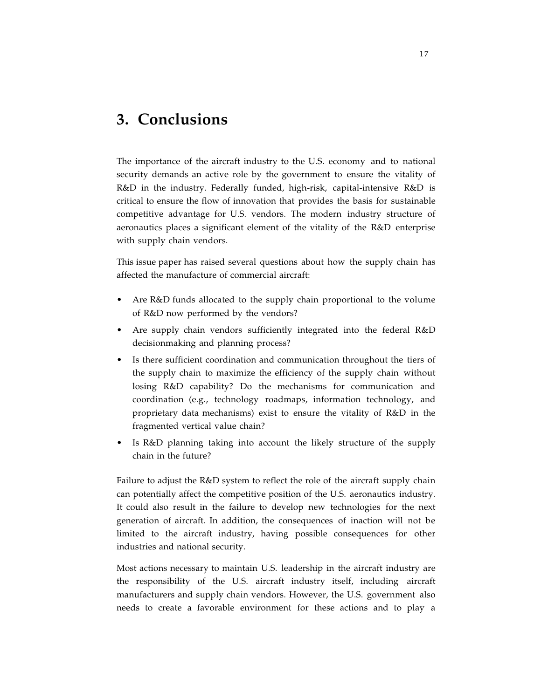## **3. Conclusions**

The importance of the aircraft industry to the U.S. economy and to national security demands an active role by the government to ensure the vitality of R&D in the industry. Federally funded, high-risk, capital-intensive R&D is critical to ensure the flow of innovation that provides the basis for sustainable competitive advantage for U.S. vendors. The modern industry structure of aeronautics places a significant element of the vitality of the R&D enterprise with supply chain vendors.

This issue paper has raised several questions about how the supply chain has affected the manufacture of commercial aircraft:

- Are R&D funds allocated to the supply chain proportional to the volume of R&D now performed by the vendors?
- Are supply chain vendors sufficiently integrated into the federal R&D decisionmaking and planning process?
- Is there sufficient coordination and communication throughout the tiers of the supply chain to maximize the efficiency of the supply chain without losing R&D capability? Do the mechanisms for communication and coordination (e.g., technology roadmaps, information technology, and proprietary data mechanisms) exist to ensure the vitality of R&D in the fragmented vertical value chain?
- Is R&D planning taking into account the likely structure of the supply chain in the future?

Failure to adjust the R&D system to reflect the role of the aircraft supply chain can potentially affect the competitive position of the U.S. aeronautics industry. It could also result in the failure to develop new technologies for the next generation of aircraft. In addition, the consequences of inaction will not be limited to the aircraft industry, having possible consequences for other industries and national security.

Most actions necessary to maintain U.S. leadership in the aircraft industry are the responsibility of the U.S. aircraft industry itself, including aircraft manufacturers and supply chain vendors. However, the U.S. government also needs to create a favorable environment for these actions and to play a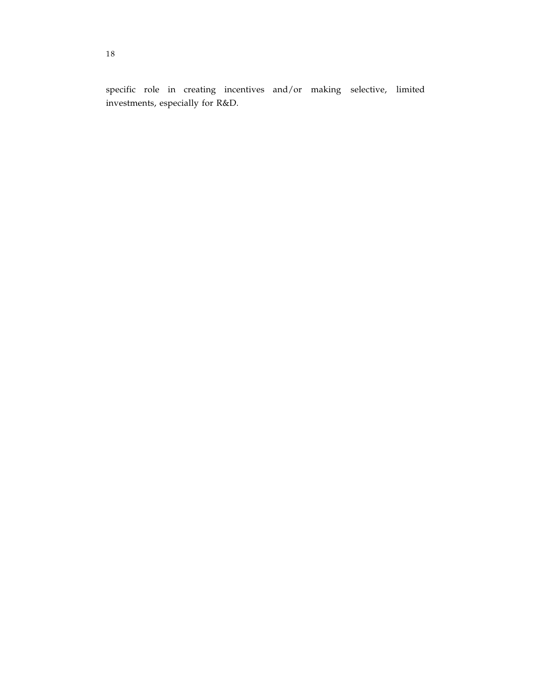specific role in creating incentives and/or making selective, limited investments, especially for R&D.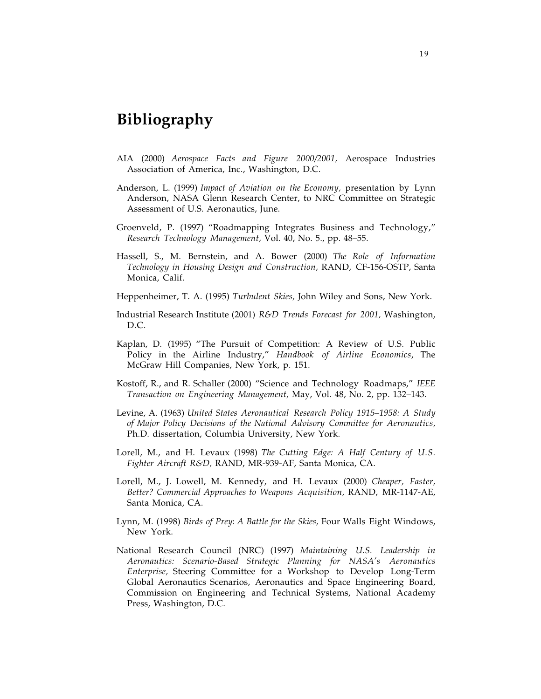# **Bibliography**

- AIA (2000) *Aerospace Facts and Figure 2000/2001,* Aerospace Industries Association of America, Inc., Washington, D.C.
- Anderson, L. (1999) *Impact of Aviation on the Economy,* presentation by Lynn Anderson, NASA Glenn Research Center, to NRC Committee on Strategic Assessment of U.S. Aeronautics, June.
- Groenveld, P. (1997) "Roadmapping Integrates Business and Technology," *Research Technology Management,* Vol. 40, No. 5., pp. 48–55.
- Hassell, S., M. Bernstein, and A. Bower (2000) *The Role of Information Technology in Housing Design and Construction,* RAND, CF-156-OSTP, Santa Monica, Calif.
- Heppenheimer, T. A. (1995) *Turbulent Skies,* John Wiley and Sons, New York.
- Industrial Research Institute (2001) *R&D Trends Forecast for 2001,* Washington, D.C.
- Kaplan, D. (1995) "The Pursuit of Competition: A Review of U.S. Public Policy in the Airline Industry," *Handbook of Airline Economics*, The McGraw Hill Companies, New York, p. 151.
- Kostoff, R., and R. Schaller (2000) "Science and Technology Roadmaps," *IEEE Transaction on Engineering Management,* May, Vol. 48, No. 2, pp. 132–143.
- Levine, A. (1963) *United States Aeronautical Research Policy 1915–1958: A Study of Major Policy Decisions of the National Advisory Committee for Aeronautics,* Ph.D. dissertation, Columbia University, New York.
- Lorell, M., and H. Levaux (1998) *The Cutting Edge: A Half Century of U.S. Fighter Aircraft R&D,* RAND, MR-939-AF, Santa Monica, CA.
- Lorell, M., J. Lowell, M. Kennedy, and H. Levaux (2000) *Cheaper, Faster, Better? Commercial Approaches to Weapons Acquisition,* RAND, MR-1147-AE, Santa Monica, CA.
- Lynn, M. (1998) *Birds of Prey*: *A Battle for the Skies,* Four Walls Eight Windows, New York.
- National Research Council (NRC) (1997) *Maintaining U.S. Leadership in Aeronautics: Scenario-Based Strategic Planning for NASA's Aeronautics Enterprise,* Steering Committee for a Workshop to Develop Long-Term Global Aeronautics Scenarios, Aeronautics and Space Engineering Board, Commission on Engineering and Technical Systems, National Academy Press, Washington, D.C.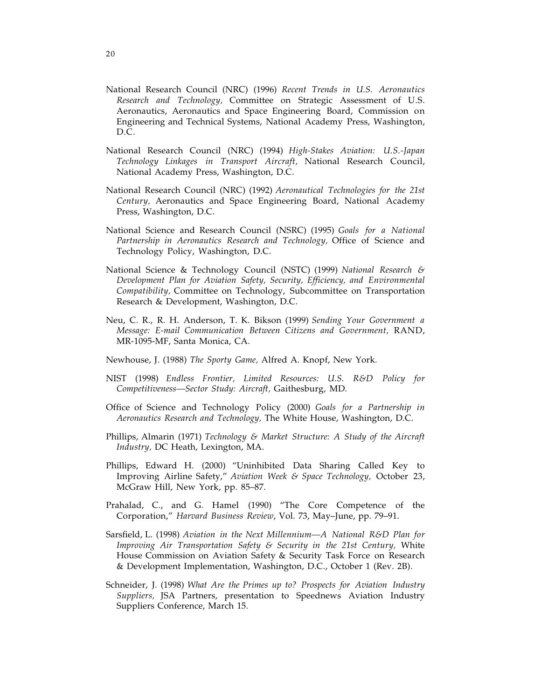- National Research Council (NRC) (1996) *Recent Trends in U.S. Aeronautics Research and Technology,* Committee on Strategic Assessment of U.S. Aeronautics, Aeronautics and Space Engineering Board, Commission on Engineering and Technical Systems, National Academy Press, Washington, D.C.
- National Research Council (NRC) (1994) *High-Stakes Aviation: U.S.-Japan Technology Linkages in Transport Aircraft,* National Research Council, National Academy Press, Washington, D.C.
- National Research Council (NRC) (1992) *Aeronautical Technologies for the 21st Century,* Aeronautics and Space Engineering Board, National Academy Press, Washington, D.C.
- National Science and Research Council (NSRC) (1995) *Goals for a National Partnership in Aeronautics Research and Technology,* Office of Science and Technology Policy, Washington, D.C.
- National Science & Technology Council (NSTC) (1999) *National Research & Development Plan for Aviation Safety, Security, Efficiency, and Environmental Compatibility,* Committee on Technology, Subcommittee on Transportation Research & Development, Washington, D.C.
- Neu, C. R., R. H. Anderson, T. K. Bikson (1999) *Sending Your Government a Message: E-mail Communication Between Citizens and Government,* RAND, MR-1095-MF, Santa Monica, CA.
- Newhouse, J. (1988) *The Sporty Game,* Alfred A. Knopf, New York.
- NIST (1998) *Endless Frontier, Limited Resources: U.S. R&D Policy for Competitiveness—Sector Study: Aircraft,* Gaithesburg, MD.
- Office of Science and Technology Policy (2000) *Goals for a Partnership in Aeronautics Research and Technology,* The White House, Washington, D.C.
- Phillips, Almarin (1971) *Technology & Market Structure: A Study of the Aircraft Industry,* DC Heath, Lexington, MA.
- Phillips, Edward H. (2000) "Uninhibited Data Sharing Called Key to Improving Airline Safety," *Aviation Week & Space Technology,* October 23, McGraw Hill, New York, pp. 85–87.
- Prahalad, C., and G. Hamel (1990) "The Core Competence of the Corporation," *Harvard Business Review*, Vol. 73, May–June, pp. 79–91.
- Sarsfield, L. (1998) *Aviation in the Next Millennium—A National R&D Plan for Improving Air Transportation Safety & Security in the 21st Century,* White House Commission on Aviation Safety & Security Task Force on Research & Development Implementation, Washington, D.C., October 1 (Rev. 2B).
- Schneider, J. (1998) *What Are the Primes up to? Prospects for Aviation Industry Suppliers,* JSA Partners, presentation to Speednews Aviation Industry Suppliers Conference, March 15.